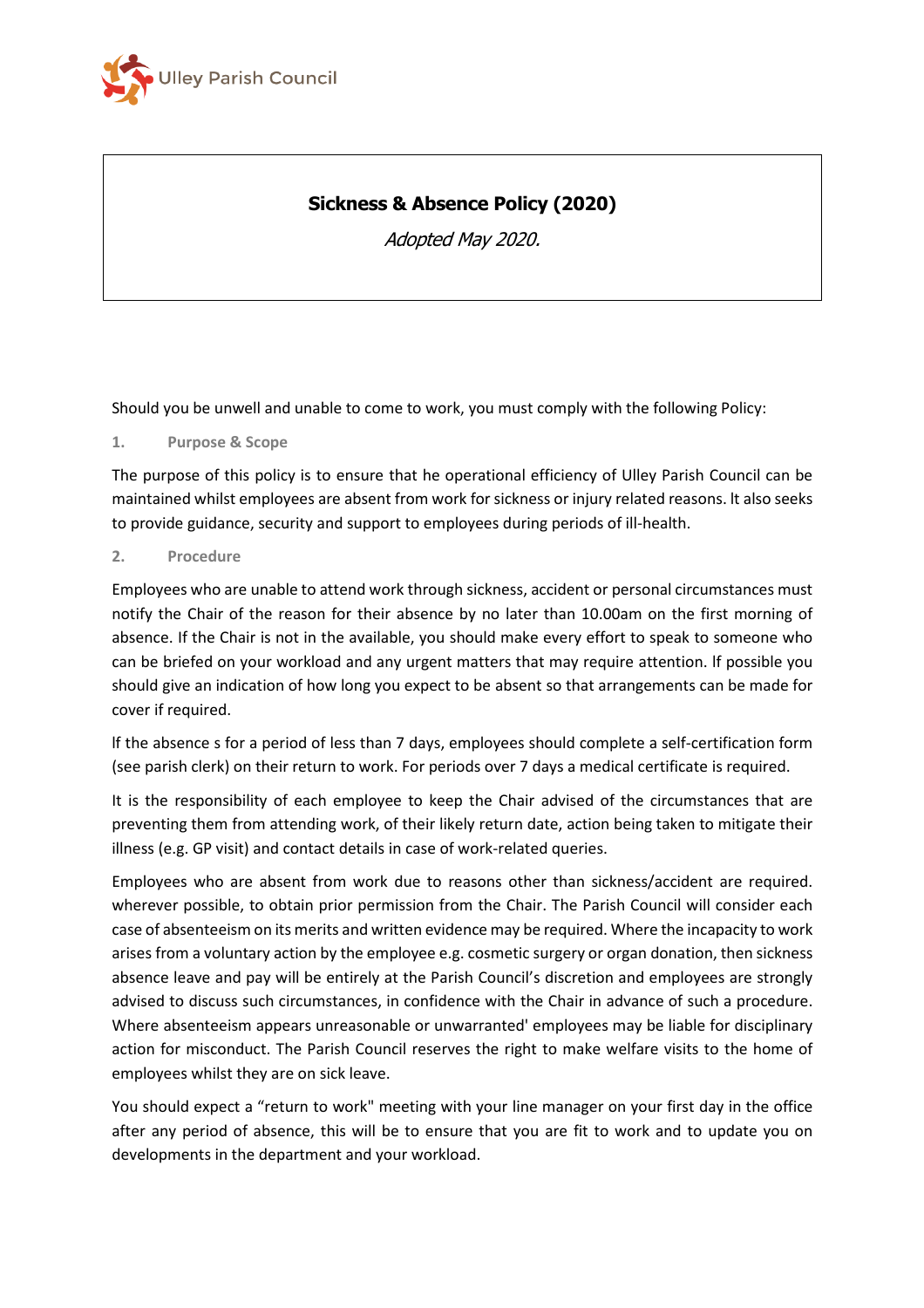

# **Sickness & Absence Policy (2020)**

Adopted May 2020.

Should you be unwell and unable to come to work, you must comply with the following Policy:

#### **1. Purpose & Scope**

The purpose of this policy is to ensure that he operational efficiency of Ulley Parish Council can be maintained whilst employees are absent from work for sickness or injury related reasons. lt also seeks to provide guidance, security and support to employees during periods of ill-health.

#### **2. Procedure**

Employees who are unable to attend work through sickness, accident or personal circumstances must notify the Chair of the reason for their absence by no later than 10.00am on the first morning of absence. If the Chair is not in the available, you should make every effort to speak to someone who can be briefed on your workload and any urgent matters that may require attention. lf possible you should give an indication of how long you expect to be absent so that arrangements can be made for cover if required.

lf the absence s for a period of less than 7 days, employees should complete a self-certification form (see parish clerk) on their return to work. For periods over 7 days a medical certificate is required.

It is the responsibility of each employee to keep the Chair advised of the circumstances that are preventing them from attending work, of their likely return date, action being taken to mitigate their illness (e.g. GP visit) and contact details in case of work-related queries.

Employees who are absent from work due to reasons other than sickness/accident are required. wherever possible, to obtain prior permission from the Chair. The Parish Council will consider each case of absenteeism on its merits and written evidence may be required. Where the incapacity to work arises from a voluntary action by the employee e.g. cosmetic surgery or organ donation, then sickness absence leave and pay will be entirely at the Parish Council's discretion and employees are strongly advised to discuss such circumstances, in confidence with the Chair in advance of such a procedure. Where absenteeism appears unreasonable or unwarranted' employees may be liable for disciplinary action for misconduct. The Parish Council reserves the right to make welfare visits to the home of employees whilst they are on sick leave.

You should expect a "return to work" meeting with your line manager on your first day in the office after any period of absence, this will be to ensure that you are fit to work and to update you on developments in the department and your workload.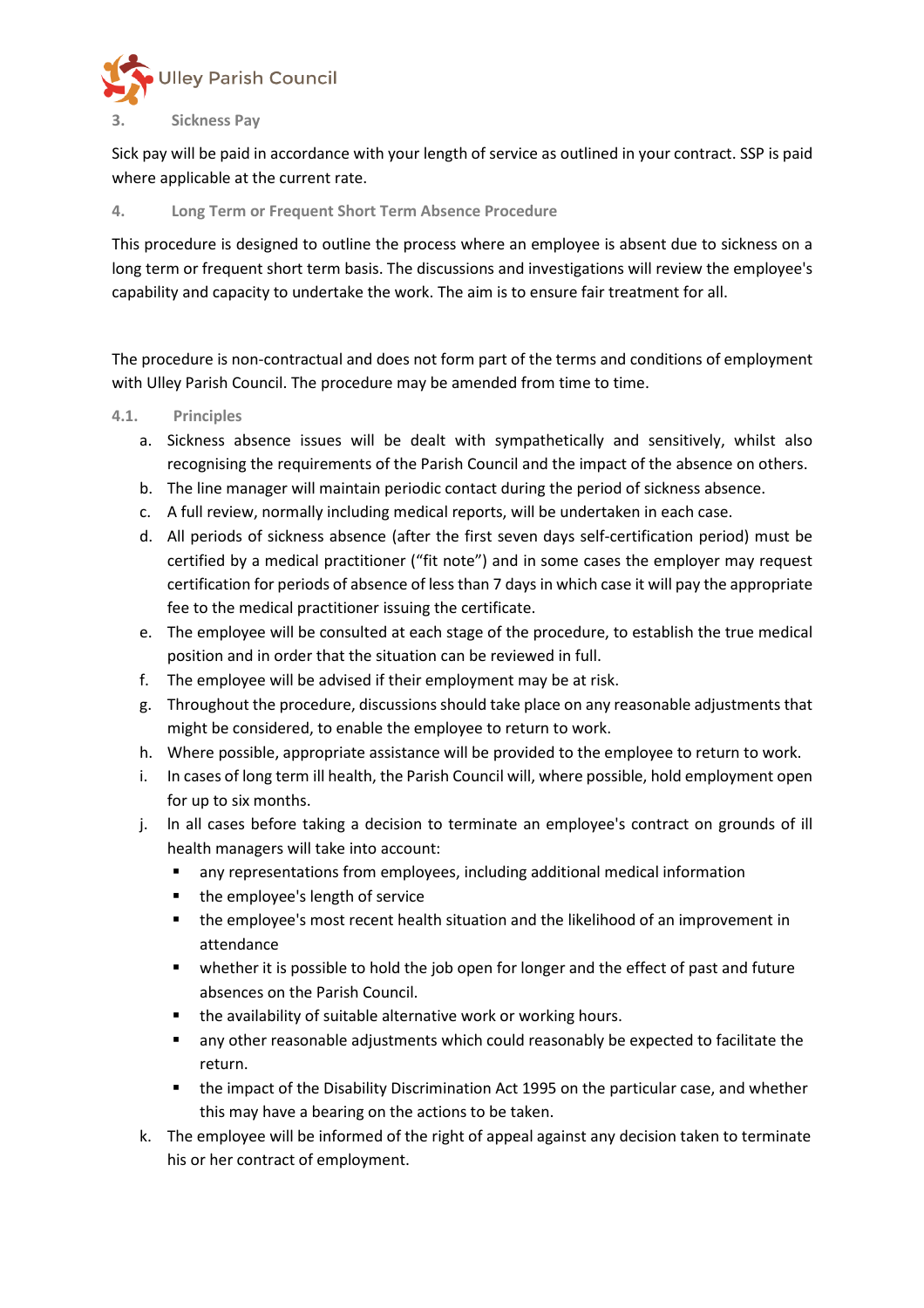

## **3. Sickness Pay**

Sick pay will be paid in accordance with your length of service as outlined in your contract. SSP is paid where applicable at the current rate.

### **4. Long Term or Frequent Short Term Absence Procedure**

This procedure is designed to outline the process where an employee is absent due to sickness on a long term or frequent short term basis. The discussions and investigations will review the employee's capability and capacity to undertake the work. The aim is to ensure fair treatment for all.

The procedure is non-contractual and does not form part of the terms and conditions of employment with Ulley Parish Council. The procedure may be amended from time to time.

### **4.1. Principles**

- a. Sickness absence issues will be dealt with sympathetically and sensitively, whilst also recognising the requirements of the Parish Council and the impact of the absence on others.
- b. The line manager will maintain periodic contact during the period of sickness absence.
- c. A full review, normally including medical reports, will be undertaken in each case.
- d. All periods of sickness absence (after the first seven days self-certification period) must be certified by a medical practitioner ("fit note") and in some cases the employer may request certification for periods of absence of less than 7 days in which case it will pay the appropriate fee to the medical practitioner issuing the certificate.
- e. The employee will be consulted at each stage of the procedure, to establish the true medical position and in order that the situation can be reviewed in full.
- f. The employee will be advised if their employment may be at risk.
- g. Throughout the procedure, discussions should take place on any reasonable adjustments that might be considered, to enable the employee to return to work.
- h. Where possible, appropriate assistance will be provided to the employee to return to work.
- i. In cases of long term ill health, the Parish Council will, where possible, hold employment open for up to six months.
- j. ln all cases before taking a decision to terminate an employee's contract on grounds of ill health managers will take into account:
	- any representations from employees, including additional medical information
	- the employee's length of service
	- the employee's most recent health situation and the likelihood of an improvement in attendance
	- whether it is possible to hold the job open for longer and the effect of past and future absences on the Parish Council.
	- the availability of suitable alternative work or working hours.
	- any other reasonable adjustments which could reasonably be expected to facilitate the return.
	- the impact of the Disability Discrimination Act 1995 on the particular case, and whether this may have a bearing on the actions to be taken.
- k. The employee will be informed of the right of appeal against any decision taken to terminate his or her contract of employment.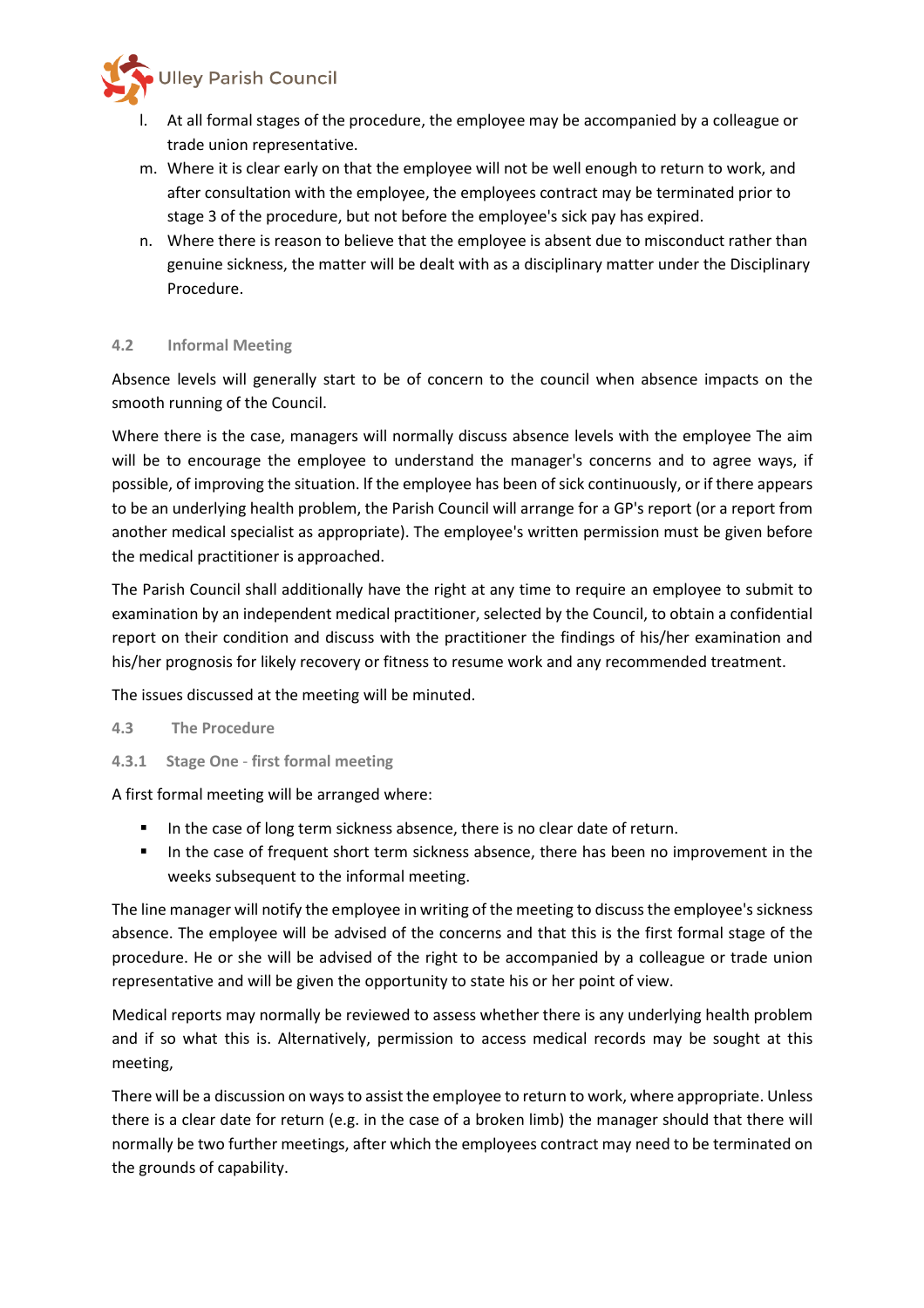

- l. At all formal stages of the procedure, the employee may be accompanied by a colleague or trade union representative.
- m. Where it is clear early on that the employee will not be well enough to return to work, and after consultation with the employee, the employees contract may be terminated prior to stage 3 of the procedure, but not before the employee's sick pay has expired.
- n. Where there is reason to believe that the employee is absent due to misconduct rather than genuine sickness, the matter will be dealt with as a disciplinary matter under the Disciplinary Procedure.

### **4.2 Informal Meeting**

Absence levels will generally start to be of concern to the council when absence impacts on the smooth running of the Council.

Where there is the case, managers will normally discuss absence levels with the employee The aim will be to encourage the employee to understand the manager's concerns and to agree ways, if possible, of improving the situation. lf the employee has been of sick continuously, or if there appears to be an underlying health problem, the Parish Council will arrange for a GP's report (or a report from another medical specialist as appropriate). The employee's written permission must be given before the medical practitioner is approached.

The Parish Council shall additionally have the right at any time to require an employee to submit to examination by an independent medical practitioner, selected by the Council, to obtain a confidential report on their condition and discuss with the practitioner the findings of his/her examination and his/her prognosis for likely recovery or fitness to resume work and any recommended treatment.

The issues discussed at the meeting will be minuted.

#### **4.3 The Procedure**

**4.3.1 Stage One** - **first formal meeting** 

A first formal meeting will be arranged where:

- In the case of long term sickness absence, there is no clear date of return.
- In the case of frequent short term sickness absence, there has been no improvement in the weeks subsequent to the informal meeting.

The line manager will notify the employee in writing of the meeting to discuss the employee's sickness absence. The employee will be advised of the concerns and that this is the first formal stage of the procedure. He or she will be advised of the right to be accompanied by a colleague or trade union representative and will be given the opportunity to state his or her point of view.

Medical reports may normally be reviewed to assess whether there is any underlying health problem and if so what this is. Alternatively, permission to access medical records may be sought at this meeting,

There will be a discussion on ways to assist the employee to return to work, where appropriate. Unless there is a clear date for return (e.g. in the case of a broken limb) the manager should that there will normally be two further meetings, after which the employees contract may need to be terminated on the grounds of capability.